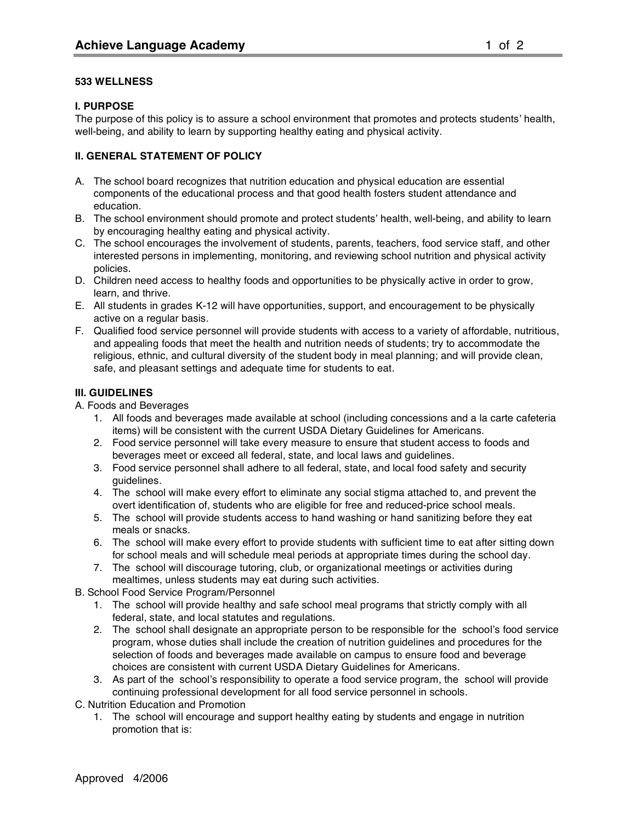### **533 WELLNESS**

# **I. PURPOSE**

The purpose of this policy is to assure a school environment that promotes and protects students' health, well-being, and ability to learn by supporting healthy eating and physical activity.

# **II. GENERAL STATEMENT OF POLICY**

- A. The school board recognizes that nutrition education and physical education are essential components of the educational process and that good health fosters student attendance and education.
- B. The school environment should promote and protect students' health, well-being, and ability to learn by encouraging healthy eating and physical activity.
- C. The school encourages the involvement of students, parents, teachers, food service staff, and other interested persons in implementing, monitoring, and reviewing school nutrition and physical activity policies.
- D. Children need access to healthy foods and opportunities to be physically active in order to grow, learn, and thrive.
- E. All students in grades K-12 will have opportunities, support, and encouragement to be physically active on a regular basis.
- F. Qualified food service personnel will provide students with access to a variety of affordable, nutritious, and appealing foods that meet the health and nutrition needs of students; try to accommodate the religious, ethnic, and cultural diversity of the student body in meal planning; and will provide clean, safe, and pleasant settings and adequate time for students to eat.

# **III. GUIDELINES**

A. Foods and Beverages

- 1. All foods and beverages made available at school (including concessions and a la carte cafeteria items) will be consistent with the current USDA Dietary Guidelines for Americans.
- 2. Food service personnel will take every measure to ensure that student access to foods and beverages meet or exceed all federal, state, and local laws and guidelines.
- 3. Food service personnel shall adhere to all federal, state, and local food safety and security guidelines.
- 4. The school will make every effort to eliminate any social stigma attached to, and prevent the overt identification of, students who are eligible for free and reduced-price school meals.
- 5. The school will provide students access to hand washing or hand sanitizing before they eat meals or snacks.
- 6. The school will make every effort to provide students with sufficient time to eat after sitting down for school meals and will schedule meal periods at appropriate times during the school day.
- 7. The school will discourage tutoring, club, or organizational meetings or activities during mealtimes, unless students may eat during such activities.
- B. School Food Service Program/Personnel
	- 1. The school will provide healthy and safe school meal programs that strictly comply with all federal, state, and local statutes and regulations.
	- 2. The school shall designate an appropriate person to be responsible for the school's food service program, whose duties shall include the creation of nutrition guidelines and procedures for the selection of foods and beverages made available on campus to ensure food and beverage choices are consistent with current USDA Dietary Guidelines for Americans.
	- 3. As part of the school's responsibility to operate a food service program, the school will provide continuing professional development for all food service personnel in schools.

C. Nutrition Education and Promotion

1. The school will encourage and support healthy eating by students and engage in nutrition promotion that is: